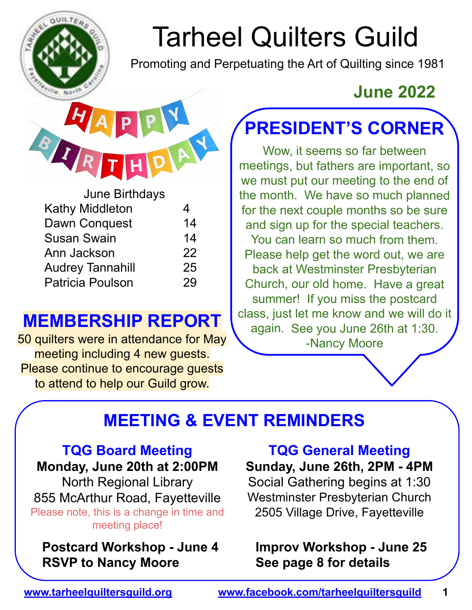

# Tarheel Quilters Guild

Promoting and Perpetuating the Art of Quilting since 1981

| <b>June Birthdays</b>   |    |
|-------------------------|----|
| Kathy Middleton         | 4  |
| Dawn Conquest           | 14 |
| Susan Swain             | 14 |
| Ann Jackson             | 22 |
| <b>Audrey Tannahill</b> | 25 |
| <b>Patricia Poulson</b> | 29 |
|                         |    |

#### **MEMBERSHIP REPORT**

50 quilters were in attendance for May meeting including 4 new guests. Please continue to encourage guests to attend to help our Guild grow.

### **June 2022**

## **PRESIDENT'S CORNER**

Wow, it seems so far between meetings, but fathers are important, so we must put our meeting to the end of the month. We have so much planned for the next couple months so be sure and sign up for the special teachers. You can learn so much from them. Please help get the word out, we are back at Westminster Presbyterian Church, our old home. Have a great summer! If you miss the postcard class, just let me know and we will do it again. See you June 26th at 1:30. -Nancy Moore

### **MEETING & EVENT REMINDERS**

#### **TQG Board Meeting**

**Monday, June 20th at 2:00PM**  North Regional Library

855 McArthur Road, Fayetteville Please note, this is a change in time and meeting place!

**Postcard Workshop - June 4 RSVP to Nancy Moore**

**TQG General Meeting Sunday, June 26th, 2PM - 4PM** 

Social Gathering begins at 1:30 Westminster Presbyterian Church 2505 Village Drive, Fayetteville

#### **Improv Workshop - June 25 See page 8 for details**

#### **www.tarheelquiltersguild.org www.facebook.com/tarheelquiltersguild 1**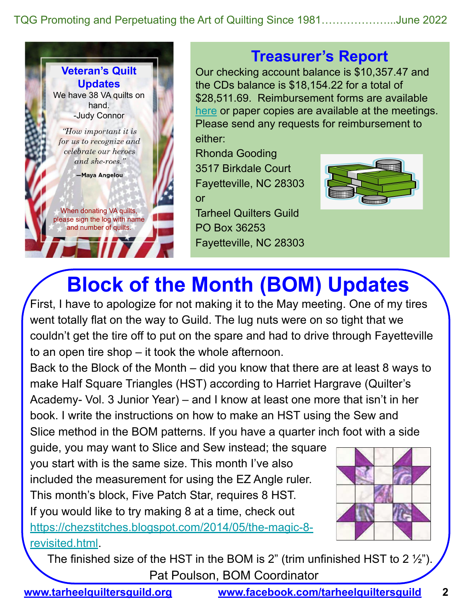TQG Promoting and Perpetuating the Art of Quilting Since 1981………………...June 2022



#### **Treasurer's Report**

Our checking account balance is \$10,357.47 and the CDs balance is \$18,154.22 for a total of \$28,511.69. Reimbursement forms are available here or paper copies are available at the meetings. Please send any requests for reimbursement to

either:

Rhonda Gooding 3517 Birkdale Court Fayetteville, NC 28303 or

Tarheel Quilters Guild PO Box 36253 Fayetteville, NC 28303



### **Block of the Month (BOM) Updates**

First, I have to apologize for not making it to the May meeting. One of my tires went totally flat on the way to Guild. The lug nuts were on so tight that we couldn't get the tire off to put on the spare and had to drive through Fayetteville to an open tire shop – it took the whole afternoon.

Back to the Block of the Month – did you know that there are at least 8 ways to make Half Square Triangles (HST) according to Harriet Hargrave (Quilter's Academy- Vol. 3 Junior Year) – and I know at least one more that isn't in her book. I write the instructions on how to make an HST using the Sew and Slice method in the BOM patterns. If you have a quarter inch foot with a side

guide, you may want to Slice and Sew instead; the square you start with is the same size. This month I've also included the measurement for using the EZ Angle ruler. This month's block, Five Patch Star, requires 8 HST. If you would like to try making 8 at a time, check out https://chezstitches.blogspot.com/2014/05/the-magic-8 revisited.html.



The finished size of the HST in the BOM is 2" (trim unfinished HST to 2  $\frac{1}{2}$ "). Pat Poulson, BOM Coordinator